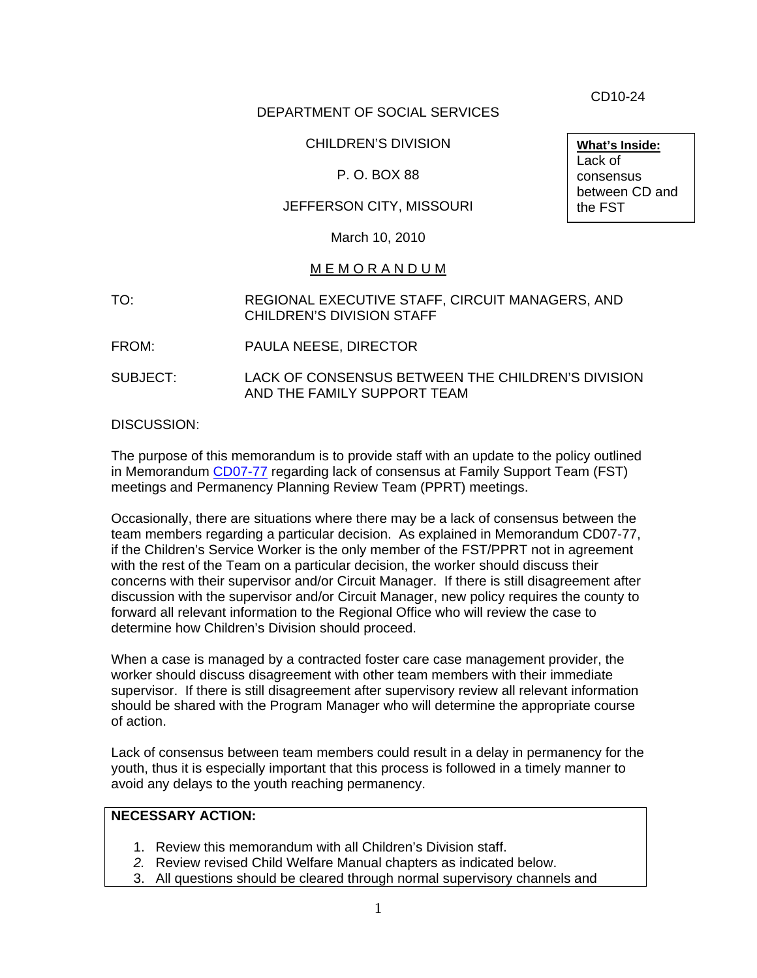CD10-24

**What's Inside:**

Lack of consensus between CD and

## DEPARTMENT OF SOCIAL SERVICES

## CHILDREN'S DIVISION

#### P. O. BOX 88

## JEFFERSON CITY, MISSOURI

March 10, 2010

#### M E M O R A N D U M

- TO: REGIONAL EXECUTIVE STAFF, CIRCUIT MANAGERS, AND CHILDREN'S DIVISION STAFF
- FROM: PAULA NEESE, DIRECTOR
- SUBJECT: LACK OF CONSENSUS BETWEEN THE CHILDREN'S DIVISION AND THE FAMILY SUPPORT TEAM

DISCUSSION:

The purpose of this memorandum is to provide staff with an update to the policy outlined in Memorandum [CD07-77](http://www.dss.mo.gov/cd/info/memos/2007/cd0777.pdf) regarding lack of consensus at Family Support Team (FST) meetings and Permanency Planning Review Team (PPRT) meetings.

Occasionally, there are situations where there may be a lack of consensus between the team members regarding a particular decision. As explained in Memorandum CD07-77, if the Children's Service Worker is the only member of the FST/PPRT not in agreement with the rest of the Team on a particular decision, the worker should discuss their concerns with their supervisor and/or Circuit Manager. If there is still disagreement after discussion with the supervisor and/or Circuit Manager, new policy requires the county to forward all relevant information to the Regional Office who will review the case to determine how Children's Division should proceed.

When a case is managed by a contracted foster care case management provider, the worker should discuss disagreement with other team members with their immediate supervisor. If there is still disagreement after supervisory review all relevant information should be shared with the Program Manager who will determine the appropriate course of action.

Lack of consensus between team members could result in a delay in permanency for the youth, thus it is especially important that this process is followed in a timely manner to avoid any delays to the youth reaching permanency.

# **NECESSARY ACTION:**

- 1. Review this memorandum with all Children's Division staff.
- *2.* Review revised Child Welfare Manual chapters as indicated below.
- 3. All questions should be cleared through normal supervisory channels and

the FST